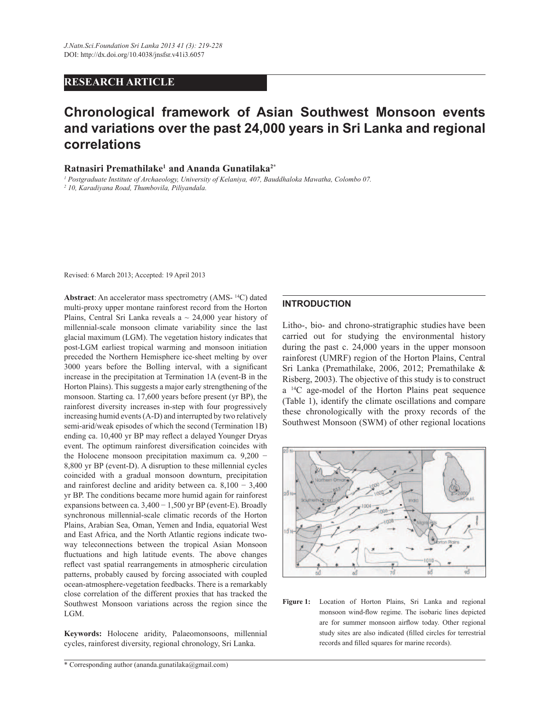# **RESEARCH ARTICLE**

# **Chronological framework of Asian Southwest Monsoon events and variations over the past 24,000 years in Sri Lanka and regional correlations**

### **Ratnasiri Premathilake<sup>1</sup>and Ananda Gunatilaka2\***

*1 Postgraduate Institute of Archaeology, University of Kelaniya, 407, Bauddhaloka Mawatha, Colombo 07.*

*2 10, Karadiyana Road, Thumbovila, Piliyandala.*

Revised: 6 March 2013; Accepted: 19 April 2013

**Abstract**: An accelerator mass spectrometry (AMS- <sup>14</sup>C) dated multi-proxy upper montane rainforest record from the Horton Plains, Central Sri Lanka reveals a  $\sim$  24,000 year history of millennial-scale monsoon climate variability since the last glacial maximum (LGM). The vegetation history indicates that post-LGM earliest tropical warming and monsoon initiation preceded the Northern Hemisphere ice-sheet melting by over 3000 years before the Bolling interval, with a significant increase in the precipitation at Termination 1A (event-B in the Horton Plains). This suggests a major early strengthening of the monsoon. Starting ca. 17,600 years before present (yr BP), the rainforest diversity increases in-step with four progressively increasing humid events (A-D) and interrupted by two relatively semi-arid/weak episodes of which the second (Termination 1B) ending ca. 10,400 yr BP may reflect a delayed Younger Dryas event. The optimum rainforest diversification coincides with the Holocene monsoon precipitation maximum ca. 9,200 − 8,800 yr BP (event-D). A disruption to these millennial cycles coincided with a gradual monsoon downturn, precipitation and rainforest decline and aridity between ca. 8,100 − 3,400 yr BP. The conditions became more humid again for rainforest expansions between ca. 3,400 − 1,500 yr BP (event-E). Broadly synchronous millennial-scale climatic records of the Horton Plains, Arabian Sea, Oman, Yemen and India, equatorial West and East Africa, and the North Atlantic regions indicate twoway teleconnections between the tropical Asian Monsoon fluctuations and high latitude events. The above changes reflect vast spatial rearrangements in atmospheric circulation patterns, probably caused by forcing associated with coupled ocean-atmosphere-vegetation feedbacks. There is a remarkably close correlation of the different proxies that has tracked the Southwest Monsoon variations across the region since the LGM.

**Keywords:** Holocene aridity, Palaeomonsoons, millennial cycles, rainforest diversity, regional chronology, Sri Lanka.

#### **INTRODUCTION**

Litho-, bio- and chrono-stratigraphic studies have been carried out for studying the environmental history during the past c. 24,000 years in the upper monsoon rainforest (UMRF) region of the Horton Plains, Central Sri Lanka (Premathilake, 2006, 2012; Premathilake & Risberg, 2003). The objective of this study is to construct a <sup>14</sup>C age-model of the Horton Plains peat sequence (Table 1), identify the climate oscillations and compare these chronologically with the proxy records of the Southwest Monsoon (SWM) of other regional locations



**Figure 1:** Location of Horton Plains, Sri Lanka and regional monsoon wind-flow regime. The isobaric lines depicted are for summer monsoon airflow today. Other regional study sites are also indicated (filled circles for terrestrial records and filled squares for marine records).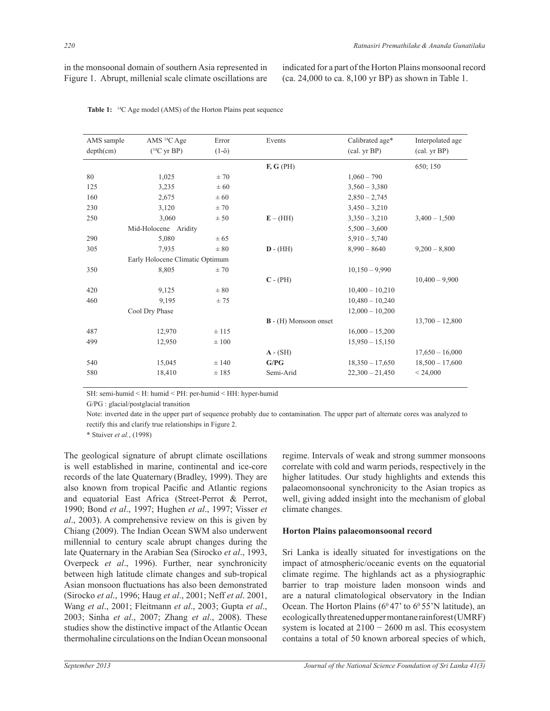in the monsoonal domain of southern Asia represented in Figure 1. Abrupt, millenial scale climate oscillations are indicated for a part of the Horton Plains monsoonal record (ca. 24,000 to ca. 8,100 yr BP) as shown in Table 1.

| AMS sample<br>depth(cm) | AMS <sup>14</sup> C Age<br>$(^{14}C$ yr BP) | Error<br>$(1-\hat{o})$ | Events                  | Calibrated age*<br>(cal. yr BP) | Interpolated age<br>(cal. yr BP) |
|-------------------------|---------------------------------------------|------------------------|-------------------------|---------------------------------|----------------------------------|
|                         |                                             |                        | F, G (PH)               |                                 | 650; 150                         |
| 80                      | 1,025                                       | ±70                    |                         | $1,060 - 790$                   |                                  |
| 125                     | 3,235                                       | $\pm 60$               |                         | $3,560 - 3,380$                 |                                  |
| 160                     | 2,675                                       | $\pm 60$               |                         | $2,850 - 2,745$                 |                                  |
| 230                     | 3,120                                       | ±70                    |                         | $3,450 - 3,210$                 |                                  |
| 250                     | 3,060                                       | ± 50                   | $E - (HH)$              | $3,350 - 3,210$                 | $3,400 - 1,500$                  |
|                         | Mid-Holocene Aridity                        |                        |                         | $5,500 - 3,600$                 |                                  |
| 290                     | 5,080                                       | ± 65                   |                         | $5,910 - 5,740$                 |                                  |
| 305                     | 7,935                                       | $\pm 80$               | $D - (HH)$              | $8,990 - 8640$                  | $9,200 - 8,800$                  |
|                         | Early Holocene Climatic Optimum             |                        |                         |                                 |                                  |
| 350                     | 8,805                                       | ±70                    |                         | $10,150 - 9,990$                |                                  |
|                         |                                             |                        | $C - (PH)$              |                                 | $10,400 - 9,900$                 |
| 420                     | 9,125                                       | $\pm 80$               |                         | $10,400 - 10,210$               |                                  |
| 460                     | 9,195                                       | ±75                    |                         | $10,480 - 10,240$               |                                  |
|                         | Cool Dry Phase                              |                        |                         | $12,000 - 10,200$               |                                  |
|                         |                                             |                        | $B - (H)$ Monsoon onset |                                 | $13,700 - 12,800$                |
| 487                     | 12,970                                      | ± 115                  |                         | $16,000 - 15,200$               |                                  |
| 499                     | 12,950                                      | ±100                   |                         | $15,950 - 15,150$               |                                  |
|                         |                                             |                        | $A - (SH)$              |                                 | $17,650 - 16,000$                |
| 540                     | 15,045                                      | ± 140                  | G/PG                    | $18,350 - 17,650$               | $18,500 - 17,600$                |
| 580                     | 18,410                                      | ±185                   | Semi-Arid               | $22,300 - 21,450$               | < 24,000                         |

|  |  |  | <b>Table 1:</b> <sup>14</sup> C Age model (AMS) of the Horton Plains peat sequence |
|--|--|--|------------------------------------------------------------------------------------|
|--|--|--|------------------------------------------------------------------------------------|

SH: semi-humid < H: humid < PH: per-humid < HH: hyper-humid

G/PG : glacial/postglacial transition

Note: inverted date in the upper part of sequence probably due to contamination. The upper part of alternate cores was analyzed to rectify this and clarify true relationships in Figure 2.

\* Stuiver *et al.*, (1998)

The geological signature of abrupt climate oscillations is well established in marine, continental and ice-core records of the late Quaternary (Bradley, 1999). They are also known from tropical Pacific and Atlantic regions and equatorial East Africa (Street-Perrot & Perrot, 1990; Bond *et al*., 1997; Hughen *et al*., 1997; Visser *et al*., 2003). A comprehensive review on this is given by Chiang (2009). The Indian Ocean SWM also underwent millennial to century scale abrupt changes during the late Quaternary in the Arabian Sea (Sirocko *et al*., 1993, Overpeck *et al*., 1996). Further, near synchronicity between high latitude climate changes and sub-tropical Asian monsoon fluctuations has also been demonstrated (Sirocko *et al*., 1996; Haug *et al*., 2001; Neff *et al*. 2001, Wang *et al*., 2001; Fleitmann *et al*., 2003; Gupta *et al*., 2003; Sinha *et al*., 2007; Zhang *et al*., 2008). These studies show the distinctive impact of the Atlantic Ocean thermohaline circulations on the Indian Ocean monsoonal

regime. Intervals of weak and strong summer monsoons correlate with cold and warm periods, respectively in the higher latitudes. Our study highlights and extends this palaeomonsoonal synchronicity to the Asian tropics as well, giving added insight into the mechanism of global climate changes.

## **Horton Plains palaeomonsoonal record**

Sri Lanka is ideally situated for investigations on the impact of atmospheric/oceanic events on the equatorial climate regime. The highlands act as a physiographic barrier to trap moisture laden monsoon winds and are a natural climatological observatory in the Indian Ocean. The Horton Plains ( $6^{\circ}47'$  to  $6^{\circ}55'$ N latitude), an ecologically threatened upper montane rainforest (UMRF) system is located at 2100 − 2600 m asl. This ecosystem contains a total of 50 known arboreal species of which,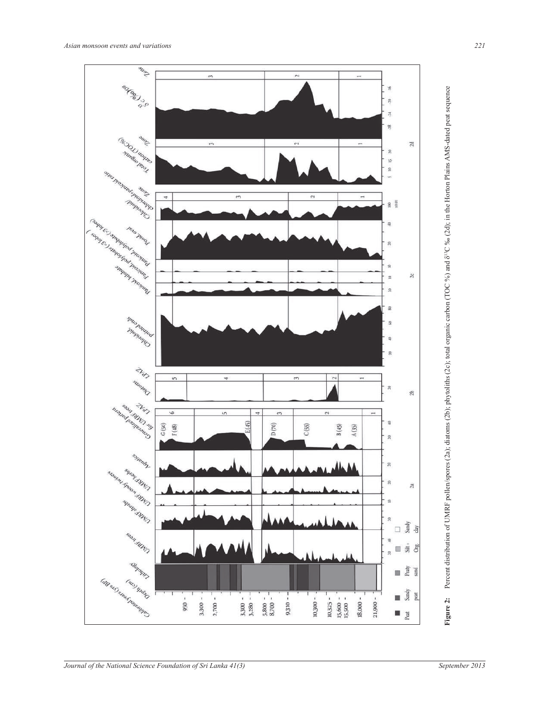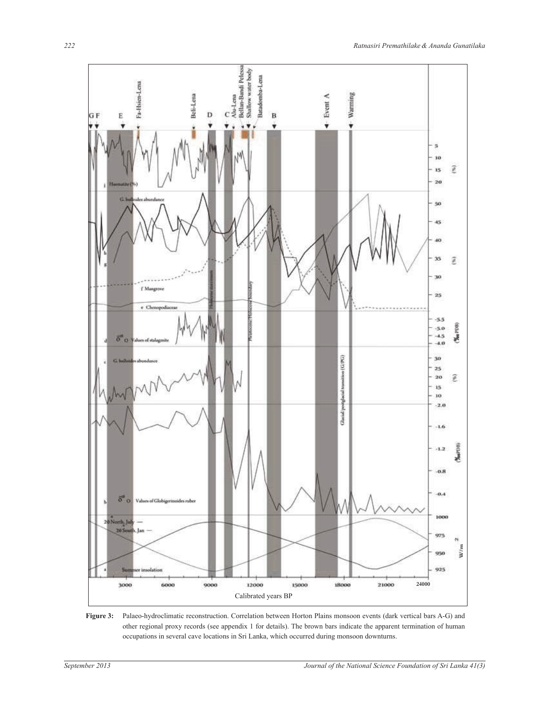

**Figure 3:** Palaeo-hydroclimatic reconstruction. Correlation between Horton Plains monsoon events (dark vertical bars A-G) and other regional proxy records (see appendix 1 for details). The brown bars indicate the apparent termination of human occupations in several cave locations in Sri Lanka, which occurred during monsoon downturns.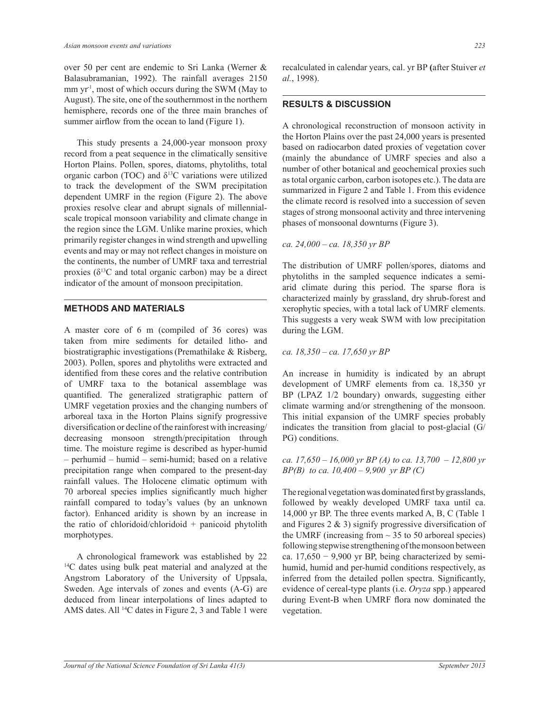over 50 per cent are endemic to Sri Lanka (Werner & Balasubramanian, 1992). The rainfall averages 2150 mm yr<sup>1</sup>, most of which occurs during the SWM (May to August). The site, one of the southernmost in the northern hemisphere, records one of the three main branches of summer airflow from the ocean to land (Figure 1).

 This study presents a 24,000-year monsoon proxy record from a peat sequence in the climatically sensitive Horton Plains. Pollen, spores, diatoms, phytoliths, total organic carbon (TOC) and  $\delta^{13}$ C variations were utilized to track the development of the SWM precipitation dependent UMRF in the region (Figure 2). The above proxies resolve clear and abrupt signals of millennialscale tropical monsoon variability and climate change in the region since the LGM. Unlike marine proxies, which primarily register changes in wind strength and upwelling events and may or may not reflect changes in moisture on the continents, the number of UMRF taxa and terrestrial proxies ( $\delta^{13}$ C and total organic carbon) may be a direct indicator of the amount of monsoon precipitation.

# **METHODS AND MATERIALS**

A master core of 6 m (compiled of 36 cores) was taken from mire sediments for detailed litho- and biostratigraphic investigations(Premathilake & Risberg, 2003). Pollen, spores and phytoliths were extracted and identified from these cores and the relative contribution of UMRF taxa to the botanical assemblage was quantified. The generalized stratigraphic pattern of UMRF vegetation proxies and the changing numbers of arboreal taxa in the Horton Plains signify progressive diversification or decline of the rainforest with increasing/ decreasing monsoon strength/precipitation through time. The moisture regime is described as hyper-humid – perhumid – humid – semi-humid; based on a relative precipitation range when compared to the present-day rainfall values. The Holocene climatic optimum with 70 arboreal species implies significantly much higher rainfall compared to today's values (by an unknown factor). Enhanced aridity is shown by an increase in the ratio of chloridoid/chloridoid + panicoid phytolith morphotypes.

 A chronological framework was established by 22 <sup>14</sup>C dates using bulk peat material and analyzed at the Angstrom Laboratory of the University of Uppsala, Sweden. Age intervals of zones and events (A-G) are deduced from linear interpolations of lines adapted to AMS dates. All <sup>14</sup>C dates in Figure 2, 3 and Table 1 were recalculated in calendar years, cal. yr BP **(**after Stuiver *et al.*, 1998).

# **RESULTS & DISCUSSION**

A chronological reconstruction of monsoon activity in the Horton Plains over the past 24,000 years is presented based on radiocarbon dated proxies of vegetation cover (mainly the abundance of UMRF species and also a number of other botanical and geochemical proxies such as total organic carbon, carbon isotopes etc.). The data are summarized in Figure 2 and Table 1. From this evidence the climate record is resolved into a succession of seven stages of strong monsoonal activity and three intervening phases of monsoonal downturns (Figure 3).

*ca. 24,000 – ca. 18,350 yr BP*

The distribution of UMRF pollen/spores, diatoms and phytoliths in the sampled sequence indicates a semiarid climate during this period. The sparse flora is characterized mainly by grassland, dry shrub-forest and xerophytic species, with a total lack of UMRF elements. This suggests a very weak SWM with low precipitation during the LGM.

## *ca. 18,350 – ca. 17,650 yr BP*

An increase in humidity is indicated by an abrupt development of UMRF elements from ca. 18,350 yr BP (LPAZ 1/2 boundary) onwards, suggesting either climate warming and/or strengthening of the monsoon. This initial expansion of the UMRF species probably indicates the transition from glacial to post-glacial (G/ PG) conditions.

*ca. 17,650 – 16,000 yr BP (A) to ca. 13,700 – 12,800 yr BP(B) to ca. 10,400 – 9,900 yr BP (C)*

The regional vegetation was dominated first by grasslands, followed by weakly developed UMRF taxa until ca. 14,000 yr BP. The three events marked A, B, C (Table 1 and Figures  $2 \& 3$ ) signify progressive diversification of the UMRF (increasing from  $\sim$  35 to 50 arboreal species) following stepwise strengthening of the monsoon between ca.  $17,650 - 9,900$  yr BP, being characterized by semihumid, humid and per-humid conditions respectively, as inferred from the detailed pollen spectra. Significantly, evidence of cereal-type plants (i.e. *Oryza* spp.) appeared during Event-B when UMRF flora now dominated the vegetation.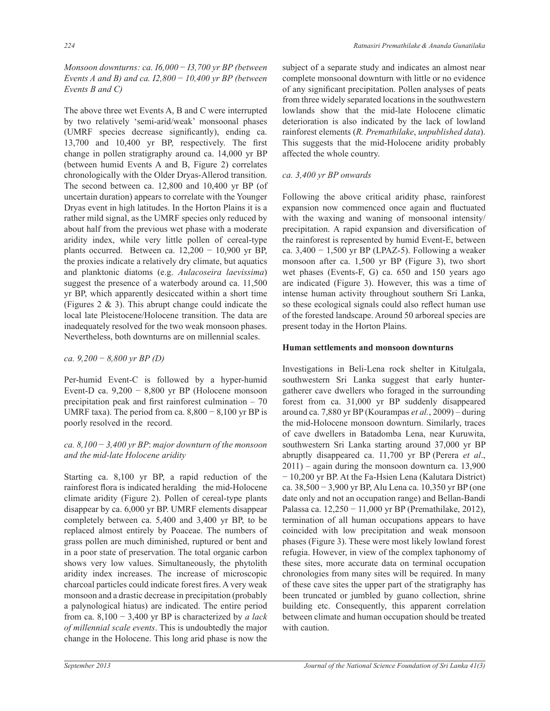*Monsoon downturns: ca. I6,000* − *I3,700 yr BP (between Events A and B) and ca. I2,800* − *10,400 yr BP (between Events B and C)* 

The above three wet Events A, B and C were interrupted by two relatively 'semi-arid/weak' monsoonal phases (UMRF species decrease significantly), ending ca. 13,700 and 10,400 yr BP, respectively. The first change in pollen stratigraphy around ca. 14,000 yr BP (between humid Events A and B, Figure 2) correlates chronologically with the Older Dryas-Allerod transition. The second between ca. 12,800 and 10,400 yr BP (of uncertain duration) appears to correlate with the Younger Dryas event in high latitudes. In the Horton Plains it is a rather mild signal, as the UMRF species only reduced by about half from the previous wet phase with a moderate aridity index, while very little pollen of cereal-type plants occurred. Between ca. 12,200 − 10,900 yr BP, the proxies indicate a relatively dry climate, but aquatics and planktonic diatoms (e.g. *Aulacoseira laevissima*) suggest the presence of a waterbody around ca. 11,500 yr BP, which apparently desiccated within a short time (Figures 2 & 3). This abrupt change could indicate the local late Pleistocene/Holocene transition. The data are inadequately resolved for the two weak monsoon phases. Nevertheless, both downturns are on millennial scales.

## *ca. 9,200* − *8,800 yr BP (D)*

Per-humid Event-C is followed by a hyper-humid Event-D ca.  $9,200 - 8,800$  yr BP (Holocene monsoon precipitation peak and first rainforest culmination – 70 UMRF taxa). The period from ca.  $8,800 - 8,100$  yr BP is poorly resolved in the record.

## *ca. 8,100* − *3,400 yr BP*: *major downturn of the monsoon and the mid-late Holocene aridity*

Starting ca. 8,100 yr BP, a rapid reduction of the rainforest flora is indicated heralding the mid-Holocene climate aridity (Figure 2). Pollen of cereal-type plants disappear by ca. 6,000 yr BP. UMRF elements disappear completely between ca. 5,400 and 3,400 yr BP, to be replaced almost entirely by Poaceae. The numbers of grass pollen are much diminished, ruptured or bent and in a poor state of preservation. The total organic carbon shows very low values. Simultaneously, the phytolith aridity index increases. The increase of microscopic charcoal particles could indicate forest fires. A very weak monsoon and a drastic decrease in precipitation (probably a palynological hiatus) are indicated. The entire period from ca. 8,100 − 3,400 yr BP is characterized by *a lack of millennial scale events*. This is undoubtedly the major change in the Holocene. This long arid phase is now the

subject of a separate study and indicates an almost near complete monsoonal downturn with little or no evidence of any significant precipitation. Pollen analyses of peats from three widely separated locations in the southwestern lowlands show that the mid-late Holocene climatic deterioration is also indicated by the lack of lowland rainforest elements (*R. Premathilake*, *unpublished data*). This suggests that the mid-Holocene aridity probably affected the whole country.

# *ca. 3,400 yr BP onwards*

Following the above critical aridity phase, rainforest expansion now commenced once again and fluctuated with the waxing and waning of monsoonal intensity/ precipitation. A rapid expansion and diversification of the rainforest is represented by humid Event-E, between ca. 3,400 − 1,500 yr BP (LPAZ-5). Following a weaker monsoon after ca. 1,500 yr BP (Figure 3), two short wet phases (Events-F, G) ca. 650 and 150 years ago are indicated (Figure 3). However, this was a time of intense human activity throughout southern Sri Lanka, so these ecological signals could also reflect human use of the forested landscape. Around 50 arboreal species are present today in the Horton Plains.

## **Human settlements and monsoon downturns**

Investigations in Beli-Lena rock shelter in Kitulgala, southwestern Sri Lanka suggest that early huntergatherer cave dwellers who foraged in the surrounding forest from ca. 31,000 yr BP suddenly disappeared around ca. 7,880 yr BP (Kourampas *et al.*, 2009) – during the mid-Holocene monsoon downturn. Similarly, traces of cave dwellers in Batadomba Lena, near Kuruwita, southwestern Sri Lanka starting around 37,000 yr BP abruptly disappeared ca. 11,700 yr BP (Perera *et al*., 2011) – again during the monsoon downturn ca. 13,900 − 10,200 yr BP. At the Fa-Hsien Lena (Kalutara District) ca. 38,500 − 3,900 yr BP, Alu Lena ca. 10,350 yr BP (one date only and not an occupation range) and Bellan-Bandi Palassa ca. 12,250 − 11,000 yr BP (Premathilake, 2012), termination of all human occupations appears to have coincided with low precipitation and weak monsoon phases (Figure 3). These were most likely lowland forest refugia. However, in view of the complex taphonomy of these sites, more accurate data on terminal occupation chronologies from many sites will be required. In many of these cave sites the upper part of the stratigraphy has been truncated or jumbled by guano collection, shrine building etc. Consequently, this apparent correlation between climate and human occupation should be treated with caution.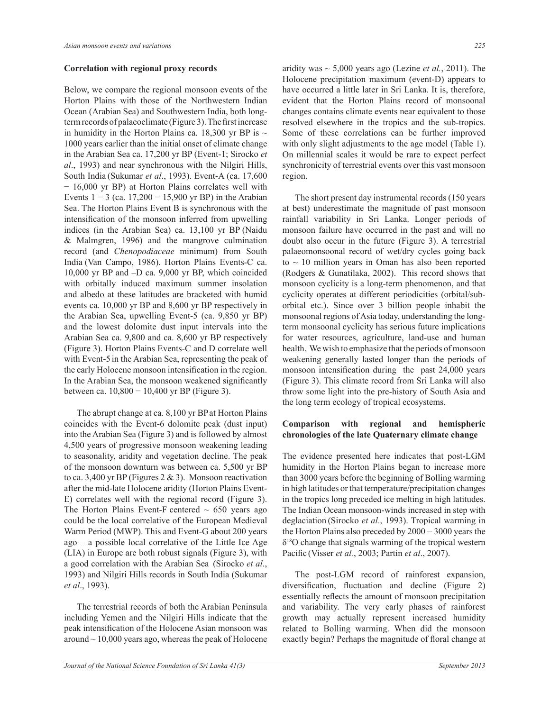#### **Correlation with regional proxy records**

Below, we compare the regional monsoon events of the Horton Plains with those of the Northwestern Indian Ocean (Arabian Sea) and Southwestern India, both longterm records of palaeoclimate (Figure 3). The first increase in humidity in the Horton Plains ca. 18,300 yr BP is  $\sim$ 1000 years earlier than the initial onset of climate change in the Arabian Sea ca. 17,200 yr BP (Event-1; Sirocko *et al*., 1993) and near synchronous with the Nilgiri Hills, South India (Sukumar *et al*., 1993). Event-A (ca. 17,600 − 16,000 yr BP) at Horton Plains correlates well with Events 1 − 3 (ca. 17,200 − 15,900 yr BP) in the Arabian Sea. The Horton Plains Event B is synchronous with the intensification of the monsoon inferred from upwelling indices (in the Arabian Sea) ca. 13,100 yr BP (Naidu & Malmgren, 1996) and the mangrove culmination record (and *Chenopodiaceae* minimum) from South India (Van Campo, 1986). Horton Plains Events-C ca. 10,000 yr BP and –D ca. 9,000 yr BP, which coincided with orbitally induced maximum summer insolation and albedo at these latitudes are bracketed with humid events ca. 10,000 yr BP and 8,600 yr BP respectively in the Arabian Sea, upwelling Event-5 (ca. 9,850 yr BP) and the lowest dolomite dust input intervals into the Arabian Sea ca. 9,800 and ca. 8,600 yr BP respectively (Figure 3). Horton Plains Events-C and D correlate well with Event-5 in the Arabian Sea, representing the peak of the early Holocene monsoon intensification in the region. In the Arabian Sea, the monsoon weakened significantly between ca. 10,800 − 10,400 yr BP (Figure 3).

 The abrupt change at ca. 8,100 yr BPat Horton Plains coincides with the Event-6 dolomite peak (dust input) into the Arabian Sea (Figure 3) and is followed by almost 4,500 years of progressive monsoon weakening leading to seasonality, aridity and vegetation decline. The peak of the monsoon downturn was between ca. 5,500 yr BP to ca. 3,400 yr BP (Figures  $2 \& 3$ ). Monsoon reactivation after the mid-late Holocene aridity (Horton Plains Event-E) correlates well with the regional record (Figure 3). The Horton Plains Event-F centered  $\sim 650$  years ago could be the local correlative of the European Medieval Warm Period (MWP). This and Event-G about 200 years ago – a possible local correlative of the Little Ice Age (LIA) in Europe are both robust signals (Figure 3), with a good correlation with the Arabian Sea (Sirocko *et al*., 1993) and Nilgiri Hills records in South India (Sukumar *et al*., 1993).

 The terrestrial records of both the Arabian Peninsula including Yemen and the Nilgiri Hills indicate that the peak intensification of the Holocene Asian monsoon was around  $\sim$  10,000 years ago, whereas the peak of Holocene aridity was  $\sim 5,000$  years ago (Lezine *et al.*, 2011). The Holocene precipitation maximum (event-D) appears to have occurred a little later in Sri Lanka. It is, therefore, evident that the Horton Plains record of monsoonal changes contains climate events near equivalent to those resolved elsewhere in the tropics and the sub-tropics. Some of these correlations can be further improved with only slight adjustments to the age model (Table 1). On millennial scales it would be rare to expect perfect synchronicity of terrestrial events over this vast monsoon region.

 The short present day instrumental records (150 years at best) underestimate the magnitude of past monsoon rainfall variability in Sri Lanka. Longer periods of monsoon failure have occurred in the past and will no doubt also occur in the future (Figure 3). A terrestrial palaeomonsoonal record of wet/dry cycles going back to  $\sim$  10 million years in Oman has also been reported (Rodgers & Gunatilaka, 2002). This record shows that monsoon cyclicity is a long-term phenomenon, and that cyclicity operates at different periodicities (orbital/suborbital etc.). Since over 3 billion people inhabit the monsoonal regions of Asia today, understanding the longterm monsoonal cyclicity has serious future implications for water resources, agriculture, land-use and human health. We wish to emphasize that the periods of monsoon weakening generally lasted longer than the periods of monsoon intensification during the past 24,000 years (Figure 3). This climate record from Sri Lanka will also throw some light into the pre-history of South Asia and the long term ecology of tropical ecosystems.

## **Comparison with regional and hemispheric chronologies of the late Quaternary climate change**

The evidence presented here indicates that post-LGM humidity in the Horton Plains began to increase more than 3000 years before the beginning of Bolling warming in high latitudes or that temperature/precipitation changes in the tropics long preceded ice melting in high latitudes. The Indian Ocean monsoon-winds increased in step with deglaciation (Sirocko *et al*., 1993). Tropical warming in the Horton Plains also preceded by 2000 − 3000 years the  $\delta^{18}$ O change that signals warming of the tropical western Pacific (Visser *et al.*, 2003; Partin *et al*., 2007).

 The post-LGM record of rainforest expansion, diversification, fluctuation and decline (Figure 2) essentially reflects the amount of monsoon precipitation and variability. The very early phases of rainforest growth may actually represent increased humidity related to Bolling warming. When did the monsoon exactly begin? Perhaps the magnitude of floral change at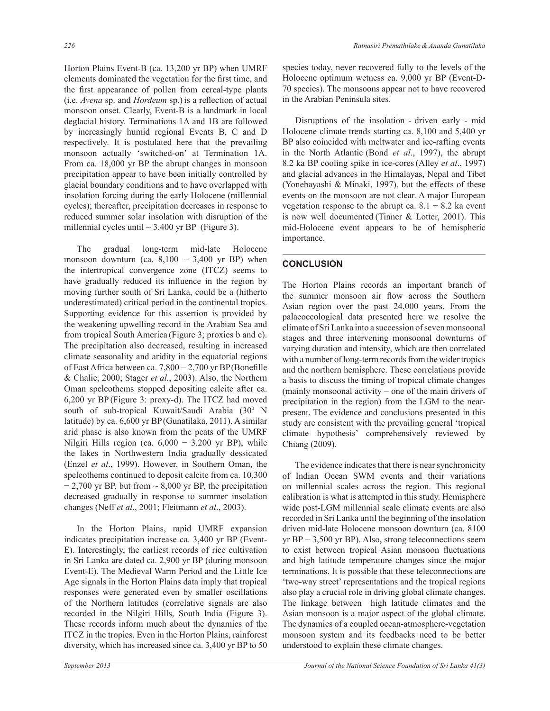Horton Plains Event-B (ca. 13,200 yr BP) when UMRF elements dominated the vegetation for the first time, and the first appearance of pollen from cereal-type plants (i.e. *Avena* sp. and *Hordeum* sp.)is a reflection of actual monsoon onset. Clearly, Event-B is a landmark in local deglacial history. Terminations 1A and 1B are followed by increasingly humid regional Events B, C and D respectively. It is postulated here that the prevailing monsoon actually 'switched-on' at Termination 1A. From ca. 18,000 yr BP the abrupt changes in monsoon precipitation appear to have been initially controlled by glacial boundary conditions and to have overlapped with insolation forcing during the early Holocene (millennial cycles); thereafter, precipitation decreases in response to reduced summer solar insolation with disruption of the millennial cycles until  $\sim$  3,400 yr BP (Figure 3).

 The gradual long-term mid-late Holocene monsoon downturn (ca.  $8,100 - 3,400$  yr BP) when the intertropical convergence zone (ITCZ) seems to have gradually reduced its influence in the region by moving further south of Sri Lanka, could be a (hitherto underestimated) critical period in the continental tropics. Supporting evidence for this assertion is provided by the weakening upwelling record in the Arabian Sea and from tropical South America (Figure 3; proxies b and c). The precipitation also decreased, resulting in increased climate seasonality and aridity in the equatorial regions of East Africa between ca. 7,800 − 2,700 yr BP(Bonefille & Chalie, 2000; Stager *et al.*, 2003). Also, the Northern Oman speleothems stopped depositing calcite after ca. 6,200 yr BP(Figure 3: proxy-d). The ITCZ had moved south of sub-tropical Kuwait/Saudi Arabia (30<sup>0</sup> N latitude) by ca. 6,600 yr BP(Gunatilaka, 2011). A similar arid phase is also known from the peats of the UMRF Nilgiri Hills region (ca.  $6,000 - 3.200$  yr BP), while the lakes in Northwestern India gradually dessicated (Enzel *et al*., 1999). However, in Southern Oman, the speleothems continued to deposit calcite from ca. 10,300  $- 2,700$  yr BP, but from  $\sim 8,000$  yr BP, the precipitation decreased gradually in response to summer insolation changes (Neff *et al*., 2001; Fleitmann *et al*., 2003).

 In the Horton Plains, rapid UMRF expansion indicates precipitation increase ca. 3,400 yr BP (Event-E). Interestingly, the earliest records of rice cultivation in Sri Lanka are dated ca. 2,900 yr BP (during monsoon Event-E). The Medieval Warm Period and the Little Ice Age signals in the Horton Plains data imply that tropical responses were generated even by smaller oscillations of the Northern latitudes (correlative signals are also recorded in the Nilgiri Hills, South India (Figure 3). These records inform much about the dynamics of the ITCZ in the tropics. Even in the Horton Plains, rainforest diversity, which has increased since ca. 3,400 yr BP to 50

species today, never recovered fully to the levels of the Holocene optimum wetness ca. 9,000 yr BP (Event-D-70 species). The monsoons appear not to have recovered in the Arabian Peninsula sites.

 Disruptions of the insolation - driven early - mid Holocene climate trends starting ca. 8,100 and 5,400 yr BP also coincided with meltwater and ice-rafting events in the North Atlantic (Bond *et al*., 1997), the abrupt 8.2 ka BP cooling spike in ice-cores(Alley *et al*., 1997) and glacial advances in the Himalayas, Nepal and Tibet (Yonebayashi & Minaki, 1997), but the effects of these events on the monsoon are not clear. A major European vegetation response to the abrupt ca.  $8.1 - 8.2$  ka event is now well documented (Tinner & Lotter, 2001). This mid-Holocene event appears to be of hemispheric importance.

# **CONCLUSION**

The Horton Plains records an important branch of the summer monsoon air flow across the Southern Asian region over the past 24,000 years. From the palaeoecological data presented here we resolve the climate of Sri Lanka into a succession of seven monsoonal stages and three intervening monsoonal downturns of varying duration and intensity, which are then correlated with a number of long-term records from the wider tropics and the northern hemisphere. These correlations provide a basis to discuss the timing of tropical climate changes (mainly monsoonal activity – one of the main drivers of precipitation in the region) from the LGM to the nearpresent. The evidence and conclusions presented in this study are consistent with the prevailing general 'tropical climate hypothesis' comprehensively reviewed by Chiang (2009).

 The evidence indicates that there is near synchronicity of Indian Ocean SWM events and their variations on millennial scales across the region. This regional calibration is what is attempted in this study. Hemisphere wide post-LGM millennial scale climate events are also recorded in Sri Lanka until the beginning of the insolation driven mid-late Holocene monsoon downturn (ca. 8100 yr BP − 3,500 yr BP). Also, strong teleconnections seem to exist between tropical Asian monsoon fluctuations and high latitude temperature changes since the major terminations. It is possible that these teleconnections are 'two-way street' representations and the tropical regions also play a crucial role in driving global climate changes. The linkage between high latitude climates and the Asian monsoon is a major aspect of the global climate. The dynamics of a coupled ocean-atmosphere-vegetation monsoon system and its feedbacks need to be better understood to explain these climate changes.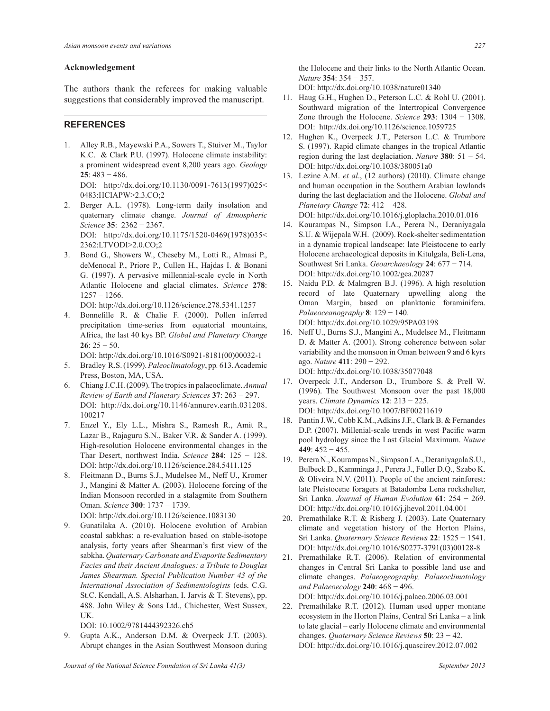#### **Acknowledgement**

The authors thank the referees for making valuable suggestions that considerably improved the manuscript.

## **REFERENCES**

1. Alley R.B., Mayewski P.A., Sowers T., Stuiver M., Taylor K.C. & Clark P.U. (1997). Holocene climate instability: a prominent widespread event 8,200 years ago. *Geology* **25**: 483 − 486.

DOI: http://dx.doi.org/10.1130/0091-7613(1997)025< 0483:HCIAPW>2.3.CO;2

- 2. Berger A.L. (1978). Long-term daily insolation and quaternary climate change. *Journal of Atmospheric Science* **35**: 2362 − 2367. DOI: http://dx.doi.org/10.1175/1520-0469(1978)035< 2362:LTVODI>2.0.CO;2
- 3. Bond G., Showers W., Cheseby M., Lotti R., Almasi P., deMenocal P., Priore P., Cullen H., Hajdas I. & Bonani G. (1997). A pervasive millennial-scale cycle in North Atlantic Holocene and glacial climates. *Science* **278**:  $1257 - 1266$ .

DOI: http://dx.doi.org/10.1126/science.278.5341.1257

4. Bonnefille R. & Chalie F. (2000). Pollen inferred precipitation time-series from equatorial mountains, Africa, the last 40 kys BP. *Global and Planetary Change* **26**: 25 − 50.

DOI: http://dx.doi.org/10.1016/S0921-8181(00)00032-1

- 5. Bradley R.S. (1999). *Paleoclimatology*, pp*.* 613. Academic Press, Boston, MA, USA.
- 6. Chiang J.C.H. (2009). The tropics in palaeoclimate. *Annual Review of Earth and Planetary Sciences* **37**: 263 − 297. DOI: http://dx.doi.org/10.1146/annurev.earth.031208. 100217
- 7. Enzel Y., Ely L.L., Mishra S., Ramesh R., Amit R., Lazar B., Rajaguru S.N., Baker V.R. & Sander A. (1999). High-resolution Holocene environmental changes in the Thar Desert, northwest India. *Science* **284**: 125 − 128. DOI: http://dx.doi.org/10.1126/science.284.5411.125
- 8. Fleitmann D., Burns S.J., Mudelsee M., Neff U., Kromer J., Mangini & Matter A. (2003). Holocene forcing of the Indian Monsoon recorded in a stalagmite from Southern Oman. *Science* **300**: 1737 − 1739. DOI: http://dx.doi.org/10.1126/science.1083130
- 9. Gunatilaka A. (2010). Holocene evolution of Arabian coastal sabkhas: a re-evaluation based on stable-isotope analysis, forty years after Shearman's first view of the sabkha. *Quaternary Carbonate and Evaporite Sedimentary Facies and their Ancient Analogues: a Tribute to Douglas James Shearman. Special Publication Number 43 of the International Association of Sedimentologists* (eds. C.G. St.C. Kendall, A.S. Alsharhan, I. Jarvis & T. Stevens), pp. 488. John Wiley & Sons Ltd., Chichester, West Sussex, UK.

DOI: 10.1002/9781444392326.ch5

9. Gupta A.K., Anderson D.M. & Overpeck J.T. (2003). Abrupt changes in the Asian Southwest Monsoon during the Holocene and their links to the North Atlantic Ocean. *Nature* **354**: 354 − 357.

DOI: http://dx.doi.org/10.1038/nature01340

- 11. Haug G.H., Hughen D., Peterson L.C. & Rohl U. (2001). Southward migration of the Intertropical Convergence Zone through the Holocene. *Science* **293**: 1304 − 1308. DOI: http://dx.doi.org/10.1126/science.1059725
- 12. Hughen K., Overpeck J.T., Peterson L.C. & Trumbore S. (1997). Rapid climate changes in the tropical Atlantic region during the last deglaciation. *Nature* **380**: 51 − 54. DOI: http://dx.doi.org/10.1038/380051a0
- 13. Lezine A.M. *et al*., (12 authors) (2010). Climate change and human occupation in the Southern Arabian lowlands during the last deglaciation and the Holocene. *Global and Planetary Change* **72**: 412 − 428.

DOI: http://dx.doi.org/10.1016/j.gloplacha.2010.01.016

- 14. Kourampas N., Simpson I.A., Perera N., Deraniyagala S.U. & Wijepala W.H. (2009). Rock-shelter sedimentation in a dynamic tropical landscape: late Pleistocene to early Holocene archaeological deposits in Kitulgala, Beli-Lena, Southwest Sri Lanka. *Geoarchaeology* **24**: 677 − 714. DOI: http://dx.doi.org/10.1002/gea.20287
- 15. Naidu P.D. & Malmgren B.J. (1996). A high resolution record of late Quaternary upwelling along the Oman Margin, based on planktonic foraminifera. *Palaeoceanography* **8**: 129 − 140. DOI: http://dx.doi.org/10.1029/95PA03198
- 16. Neff U., Burns S.J., Mangini A., Mudelsee M., Fleitmann D. & Matter A. (2001). Strong coherence between solar variability and the monsoon in Oman between 9 and 6 kyrs ago. *Nature* **411**: 290 − 292. DOI: http://dx.doi.org/10.1038/35077048
- 17. Overpeck J.T., Anderson D., Trumbore S. & Prell W. (1996). The Southwest Monsoon over the past 18,000 years. *Climate Dynamics* **12**: 213 − 225.

DOI: http://dx.doi.org/10.1007/BF00211619

- 18. Pantin J.W., Cobb K.M., Adkins J.F., Clark B. & Fernandes D.P. (2007). Millenial-scale trends in west Pacific warm pool hydrology since the Last Glacial Maximum. *Nature* **449**: 452 − 455.
- 19. Perera N., Kourampas N., Simpson I.A., Deraniyagala S.U., Bulbeck D., Kamminga J., Perera J., Fuller D.Q., Szabo K. & Oliveira N.V. (2011). People of the ancient rainforest: late Pleistocene foragers at Batadomba Lena rockshelter, Sri Lanka. *Journal of Human Evolution* **61**: 254 − 269. DOI: http://dx.doi.org/10.1016/j.jhevol.2011.04.001
- 20. Premathilake R.T. & Risberg J. (2003). Late Quaternary climate and vegetation history of the Horton Plains, Sri Lanka. *Quaternary Science Reviews* **22**: 1525 − 1541. DOI: http://dx.doi.org/10.1016/S0277-3791(03)00128-8
- 21. Premathilake R.T. (2006). Relation of environmental changes in Central Sri Lanka to possible land use and climate changes. *Palaeogeography, Palaeoclimatology and Palaeoecology* **240**: 468 − 496. DOI: http://dx.doi.org/10.1016/j.palaeo.2006.03.001
- 22. Premathilake R.T. (2012). Human used upper montane ecosystem in the Horton Plains, Central Sri Lanka – a link to late glacial – early Holocene climate and environmental changes. *Quaternary Science Reviews* **50**: 23 − 42. DOI: http://dx.doi.org/10.1016/j.quascirev.2012.07.002